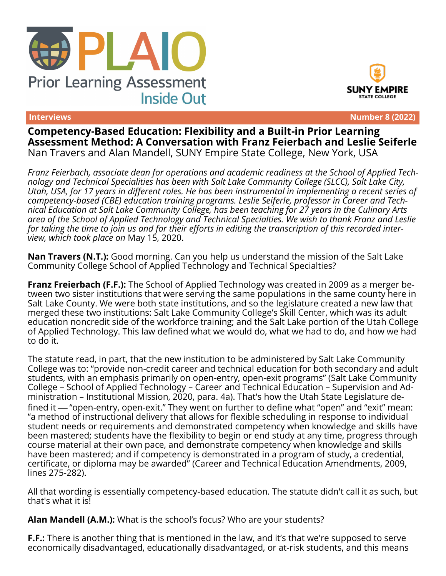





**Interviews Number 8 (2022)**

**Competency-Based Education: Flexibility and a Built-in Prior Learning Assessment Method: A Conversation with Franz Feierbach and Leslie Seiferle** Nan Travers and Alan Mandell, SUNY Empire State College, New York, USA

*Franz Feierbach, associate dean for operations and academic readiness at the School of Applied Technology and Technical Specialities has been with Salt Lake Community College (SLCC), Salt Lake City, Utah, USA, for 17 years in different roles. He has been instrumental in implementing a recent series of competency-based (CBE) education training programs. Leslie Seiferle, professor in Career and Technical Education at Salt Lake Community College, has been teaching for 27 years in the Culinary Arts area of the School of Applied Technology and Technical Specialties. We wish to thank Franz and Leslie for taking the time to join us and for their efforts in editing the transcription of this recorded interview, which took place on* May 15, 2020.

**Nan Travers (N.T.):** Good morning. Can you help us understand the mission of the Salt Lake Community College School of Applied Technology and Technical Specialties?

**Franz Freierbach (F.F.):** The School of Applied Technology was created in 2009 as a merger between two sister institutions that were serving the same populations in the same county here in Salt Lake County. We were both state institutions, and so the legislature created a new law that merged these two institutions: Salt Lake Community College's Skill Center, which was its adult education noncredit side of the workforce training; and the Salt Lake portion of the Utah College of Applied Technology. This law defined what we would do, what we had to do, and how we had to do it.

The statute read, in part, that the new institution to be administered by Salt Lake Community College was to: "provide non-credit career and technical education for both secondary and adult students, with an emphasis primarily on open-entry, open-exit programs" (Salt Lake Community College – School of Applied Technology – Career and Technical Education – Supervision and Administration – Institutional Mission, 2020, para. 4a). That's how the Utah State Legislature defined it  $-$  "open-entry, open-exit." They went on further to define what "open" and "exit" mean: "a method of instructional delivery that allows for flexible scheduling in response to individual student needs or requirements and demonstrated competency when knowledge and skills have been mastered; students have the flexibility to begin or end study at any time, progress through course material at their own pace, and demonstrate competency when knowledge and skills have been mastered; and if competency is demonstrated in a program of study, a credential, certificate, or diploma may be awarded" (Career and Technical Education Amendments, 2009, lines 275-282).

All that wording is essentially competency-based education. The statute didn't call it as such, but that's what it is!

**Alan Mandell (A.M.):** What is the school's focus? Who are your students?

**F.F.:** There is another thing that is mentioned in the law, and it's that we're supposed to serve economically disadvantaged, educationally disadvantaged, or at-risk students, and this means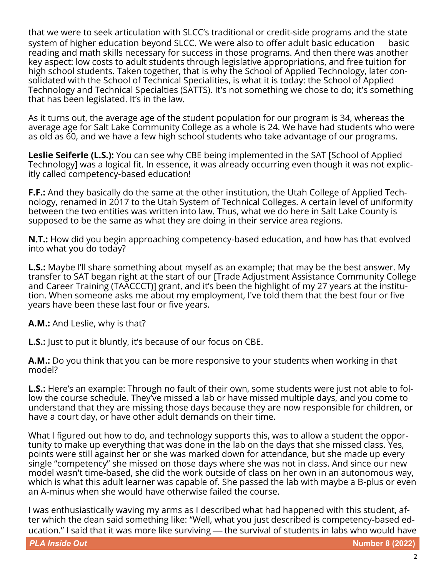that we were to seek articulation with SLCC's traditional or credit-side programs and the state system of higher education beyond SLCC. We were also to offer adult basic education — basic reading and math skills necessary for success in those programs. And then there was another key aspect: low costs to adult students through legislative appropriations, and free tuition for high school students. Taken together, that is why the School of Applied Technology, later consolidated with the School of Technical Specialities, is what it is today: the School of Applied Technology and Technical Specialties (SATTS). It's not something we chose to do; it's something that has been legislated. It's in the law.

As it turns out, the average age of the student population for our program is 34, whereas the average age for Salt Lake Community College as a whole is 24. We have had students who were as old as 60, and we have a few high school students who take advantage of our programs.

**Leslie Seiferle (L.S.):** You can see why CBE being implemented in the SAT [School of Applied Technology] was a logical fit. In essence, it was already occurring even though it was not explicitly called competency-based education!

**F.F.:** And they basically do the same at the other institution, the Utah College of Applied Technology, renamed in 2017 to the Utah System of Technical Colleges. A certain level of uniformity between the two entities was written into law. Thus, what we do here in Salt Lake County is supposed to be the same as what they are doing in their service area regions.

**N.T.:** How did you begin approaching competency-based education, and how has that evolved into what you do today?

**L.S.:** Maybe I'll share something about myself as an example; that may be the best answer. My transfer to SAT began right at the start of our [Trade Adjustment Assistance Community College and Career Training (TAACCCT)] grant, and it's been the highlight of my 27 years at the institution. When someone asks me about my employment, I've told them that the best four or five years have been these last four or five years.

**A.M.:** And Leslie, why is that?

**L.S.:** Just to put it bluntly, it's because of our focus on CBE.

**A.M.:** Do you think that you can be more responsive to your students when working in that model?

**L.S.:** Here's an example: Through no fault of their own, some students were just not able to follow the course schedule. They've missed a lab or have missed multiple days, and you come to understand that they are missing those days because they are now responsible for children, or have a court day, or have other adult demands on their time.

What I figured out how to do, and technology supports this, was to allow a student the opportunity to make up everything that was done in the lab on the days that she missed class. Yes, points were still against her or she was marked down for attendance, but she made up every single "competency" she missed on those days where she was not in class. And since our new model wasn't time-based, she did the work outside of class on her own in an autonomous way, which is what this adult learner was capable of. She passed the lab with maybe a B-plus or even an A-minus when she would have otherwise failed the course.

I was enthusiastically waving my arms as I described what had happened with this student, after which the dean said something like: "Well, what you just described is competency-based education." I said that it was more like surviving — the survival of students in labs who would have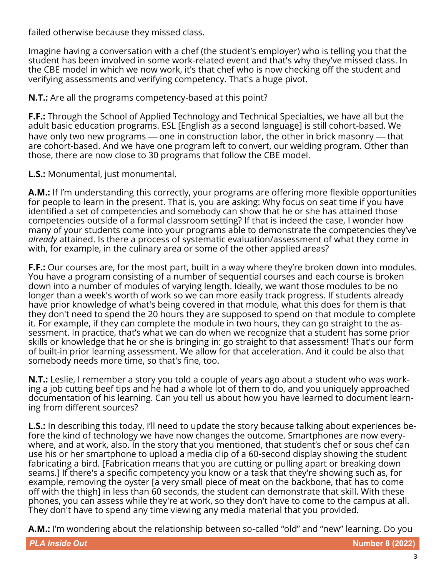failed otherwise because they missed class.

Imagine having a conversation with a chef (the student's employer) who is telling you that the student has been involved in some work-related event and that's why they've missed class. In the CBE model in which we now work, it's that chef who is now checking off the student and verifying assessments and verifying competency. That's a huge pivot.

**N.T.:** Are all the programs competency-based at this point?

**F.F.:** Through the School of Applied Technology and Technical Specialties, we have all but the adult basic education programs. ESL [English as a second language] is still cohort-based. We have only two new programs — one in construction labor, the other in brick masonry — that are cohort-based. And we have one program left to convert, our welding program. Other than those, there are now close to 30 programs that follow the CBE model.

**L.S.:** Monumental, just monumental.

**A.M.:** If I'm understanding this correctly, your programs are offering more flexible opportunities for people to learn in the present. That is, you are asking: Why focus on seat time if you have identified a set of competencies and somebody can show that he or she has attained those competencies outside of a formal classroom setting? If that is indeed the case, I wonder how many of your students come into your programs able to demonstrate the competencies they've *already* attained. Is there a process of systematic evaluation/assessment of what they come in with, for example, in the culinary area or some of the other applied areas?

**F.F.:** Our courses are, for the most part, built in a way where they're broken down into modules. You have a program consisting of a number of sequential courses and each course is broken down into a number of modules of varying length. Ideally, we want those modules to be no longer than a week's worth of work so we can more easily track progress. If students already have prior knowledge of what's being covered in that module, what this does for them is that they don't need to spend the 20 hours they are supposed to spend on that module to complete it. For example, if they can complete the module in two hours, they can go straight to the assessment. In practice, that's what we can do when we recognize that a student has some prior skills or knowledge that he or she is bringing in: go straight to that assessment! That's our form of built-in prior learning assessment. We allow for that acceleration. And it could be also that somebody needs more time, so that's fine, too.

**N.T.:** Leslie, I remember a story you told a couple of years ago about a student who was working a job cutting beef tips and he had a whole lot of them to do, and you uniquely approached documentation of his learning. Can you tell us about how you have learned to document learning from different sources?

**L.S.:** In describing this today, I'll need to update the story because talking about experiences before the kind of technology we have now changes the outcome. Smartphones are now everywhere, and at work, also. In the story that you mentioned, that student's chef or sous chef can use his or her smartphone to upload a media clip of a 60-second display showing the student fabricating a bird. [Fabrication means that you are cutting or pulling apart or breaking down seams.] If there's a specific competency you know or a task that they're showing such as, for example, removing the oyster [a very small piece of meat on the backbone, that has to come off with the thigh] in less than 60 seconds, the student can demonstrate that skill. With these phones, you can assess while they're at work, so they don't have to come to the campus at all. They don't have to spend any time viewing any media material that you provided.

**A.M.:** I'm wondering about the relationship between so-called "old" and "new" learning. Do you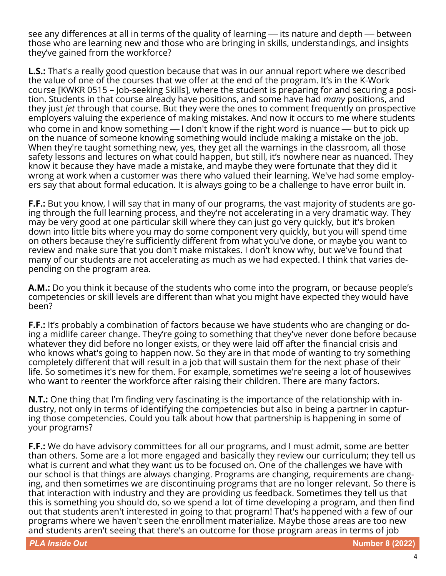see any differences at all in terms of the quality of learning — its nature and depth — between those who are learning new and those who are bringing in skills, understandings, and insights they've gained from the workforce?

**L.S.:** That's a really good question because that was in our annual report where we described the value of one of the courses that we offer at the end of the program. It's in the K-Work course [KWKR 0515 – Job-seeking Skills], where the student is preparing for and securing a position. Students in that course already have positions, and some have had *many* positions, and they just *jet* through that course. But they were the ones to comment frequently on prospective employers valuing the experience of making mistakes. And now it occurs to me where students who come in and know something  $-$  I don't know if the right word is nuance  $-$  but to pick up on the nuance of someone knowing something would include making a mistake on the job. When they're taught something new, yes, they get all the warnings in the classroom, all those safety lessons and lectures on what could happen, but still, it's nowhere near as nuanced. They know it because they have made a mistake, and maybe they were fortunate that they did it wrong at work when a customer was there who valued their learning. We've had some employers say that about formal education. It is always going to be a challenge to have error built in.

**F.F.:** But you know, I will say that in many of our programs, the vast majority of students are going through the full learning process, and they're not accelerating in a very dramatic way. They may be very good at one particular skill where they can just go very quickly, but it's broken down into little bits where you may do some component very quickly, but you will spend time on others because they're sufficiently different from what you've done, or maybe you want to review and make sure that you don't make mistakes. I don't know why, but we've found that many of our students are not accelerating as much as we had expected. I think that varies depending on the program area.

**A.M.:** Do you think it because of the students who come into the program, or because people's competencies or skill levels are different than what you might have expected they would have been?

**F.F.:** It's probably a combination of factors because we have students who are changing or doing a midlife career change. They're going to something that they've never done before because whatever they did before no longer exists, or they were laid off after the financial crisis and who knows what's going to happen now. So they are in that mode of wanting to try something completely different that will result in a job that will sustain them for the next phase of their life. So sometimes it's new for them. For example, sometimes we're seeing a lot of housewives who want to reenter the workforce after raising their children. There are many factors.

**N.T.:** One thing that I'm finding very fascinating is the importance of the relationship with industry, not only in terms of identifying the competencies but also in being a partner in capturing those competencies. Could you talk about how that partnership is happening in some of your programs?

**F.F.:** We do have advisory committees for all our programs, and I must admit, some are better than others. Some are a lot more engaged and basically they review our curriculum; they tell us what is current and what they want us to be focused on. One of the challenges we have with our school is that things are always changing. Programs are changing, requirements are changing, and then sometimes we are discontinuing programs that are no longer relevant. So there is that interaction with industry and they are providing us feedback. Sometimes they tell us that this is something you should do, so we spend a lot of time developing a program, and then find out that students aren't interested in going to that program! That's happened with a few of our programs where we haven't seen the enrollment materialize. Maybe those areas are too new and students aren't seeing that there's an outcome for those program areas in terms of job